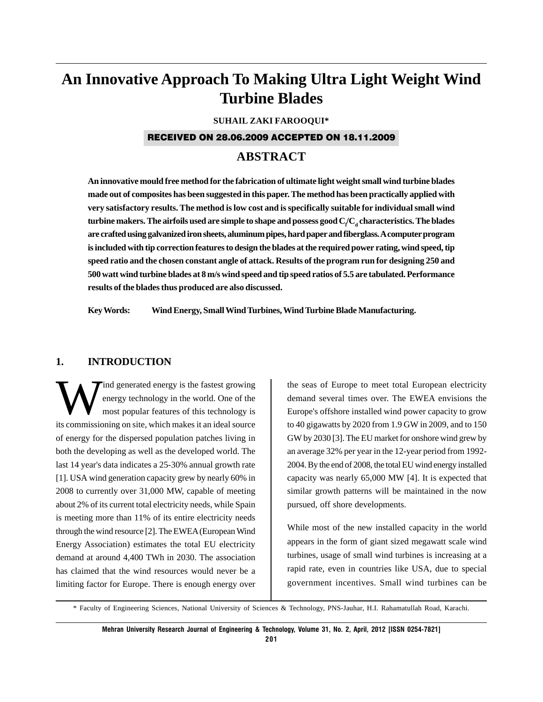# **An Innovative Approach To Making Ultra Light Weight Wind Turbine Blades**

#### **SUHAIL ZAKI FAROOQUI\***

#### RECEIVED ON 28.06.2009 ACCEPTED ON 18.11.2009

# **ABSTRACT**

**An innovative mould free method for the fabrication of ultimate light weight small wind turbine blades made out of composites has been suggested in this paper. The method has been practically applied with very satisfactory results. The method is low cost and is specifically suitable for individual small wind**  $\tt{turbine makers.}$  The airfoils used are simple to shape and possess good  $\tt{C}/\t{C}_d$  characteristics. The blades **are crafted using galvanized iron sheets, aluminum pipes, hard paper and fiberglass. A computer program is included with tip correction features to design the blades at the required power rating, wind speed, tip speed ratio and the chosen constant angle of attack. Results of the program run for designing 250 and 500 watt wind turbine blades at 8 m/s wind speed and tip speed ratios of 5.5 are tabulated. Performance results of the blades thus produced are also discussed.**

**Key Words: Wind Energy, Small Wind Turbines, Wind Turbine Blade Manufacturing.**

#### **1. INTRODUCTION**

ind generated energy is the fastest growing energy technology in the world. One of the most popular features of this technology is its commissioning on site, which makes it an ideal source of energy for the dispersed population patches living in both the developing as well as the developed world. The last 14 year's data indicates a 25-30% annual growth rate [1]. USA wind generation capacity grew by nearly 60% in 2008 to currently over 31,000 MW, capable of meeting about 2% of its current total electricity needs, while Spain is meeting more than 11% of its entire electricity needs through the wind resource [2]. The EWEA (European Wind Energy Association) estimates the total EU electricity demand at around 4,400 TWh in 2030. The association has claimed that the wind resources would never be a limiting factor for Europe. There is enough energy over the seas of Europe to meet total European electricity demand several times over. The EWEA envisions the Europe's offshore installed wind power capacity to grow to 40 gigawatts by 2020 from 1.9 GW in 2009, and to 150 GW by 2030 [3]. The EU market for onshore wind grew by an average 32% per year in the 12-year period from 1992- 2004. By the end of 2008, the total EU wind energy installed capacity was nearly 65,000 MW [4]. It is expected that similar growth patterns will be maintained in the now pursued, off shore developments.

While most of the new installed capacity in the world appears in the form of giant sized megawatt scale wind turbines, usage of small wind turbines is increasing at a rapid rate, even in countries like USA, due to special government incentives. Small wind turbines can be

\* Faculty of Engineering Sciences, National University of Sciences & Technology, PNS-Jauhar, H.I. Rahamatullah Road, Karachi.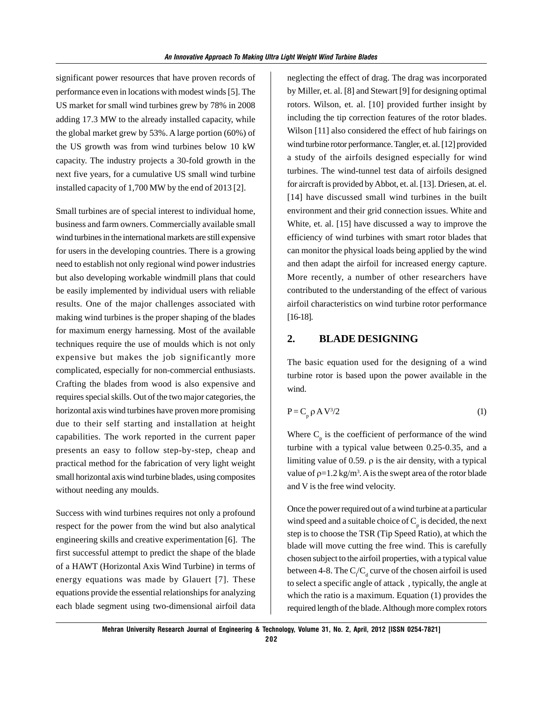significant power resources that have proven records of performance even in locations with modest winds [5]. The US market for small wind turbines grew by 78% in 2008 adding 17.3 MW to the already installed capacity, while the global market grew by 53%. A large portion (60%) of the US growth was from wind turbines below 10 kW capacity. The industry projects a 30-fold growth in the next five years, for a cumulative US small wind turbine installed capacity of 1,700 MW by the end of 2013 [2].

Small turbines are of special interest to individual home, business and farm owners. Commercially available small wind turbines in the international markets are still expensive for users in the developing countries. There is a growing need to establish not only regional wind power industries but also developing workable windmill plans that could be easily implemented by individual users with reliable results. One of the major challenges associated with making wind turbines is the proper shaping of the blades for maximum energy harnessing. Most of the available techniques require the use of moulds which is not only expensive but makes the job significantly more complicated, especially for non-commercial enthusiasts. Crafting the blades from wood is also expensive and requires special skills. Out of the two major categories, the horizontal axis wind turbines have proven more promising due to their self starting and installation at height capabilities. The work reported in the current paper presents an easy to follow step-by-step, cheap and practical method for the fabrication of very light weight small horizontal axis wind turbine blades, using composites without needing any moulds.

Success with wind turbines requires not only a profound respect for the power from the wind but also analytical engineering skills and creative experimentation [6]. The first successful attempt to predict the shape of the blade of a HAWT (Horizontal Axis Wind Turbine) in terms of energy equations was made by Glauert [7]. These equations provide the essential relationships for analyzing each blade segment using two-dimensional airfoil data

neglecting the effect of drag. The drag was incorporated by Miller, et. al. [8] and Stewart [9] for designing optimal rotors. Wilson, et. al. [10] provided further insight by including the tip correction features of the rotor blades. Wilson [11] also considered the effect of hub fairings on wind turbine rotor performance. Tangler, et. al. [12] provided a study of the airfoils designed especially for wind turbines. The wind-tunnel test data of airfoils designed for aircraft is provided by Abbot, et. al. [13]. Driesen, at. el. [14] have discussed small wind turbines in the built environment and their grid connection issues. White and White, et. al. [15] have discussed a way to improve the efficiency of wind turbines with smart rotor blades that can monitor the physical loads being applied by the wind and then adapt the airfoil for increased energy capture. More recently, a number of other researchers have contributed to the understanding of the effect of various airfoil characteristics on wind turbine rotor performance [16-18].

#### **2. BLADE DESIGNING**

The basic equation used for the designing of a wind turbine rotor is based upon the power available in the wind.

$$
P = C_p \rho A V^3 / 2 \tag{1}
$$

Where  $C_p$  is the coefficient of performance of the wind turbine with a typical value between 0.25-0.35, and a limiting value of 0.59.  $\rho$  is the air density, with a typical value of  $p=1.2 \text{ kg/m}^3$ . A is the swept area of the rotor blade and V is the free wind velocity.

Once the power required out of a wind turbine at a particular wind speed and a suitable choice of  $C_p$  is decided, the next step is to choose the TSR (Tip Speed Ratio), at which the blade will move cutting the free wind. This is carefully chosen subject to the airfoil properties, with a typical value between 4-8. The  $C/C_d$  curve of the chosen airfoil is used to select a specific angle of attack , typically, the angle at which the ratio is a maximum. Equation (1) provides the required length of the blade. Although more complex rotors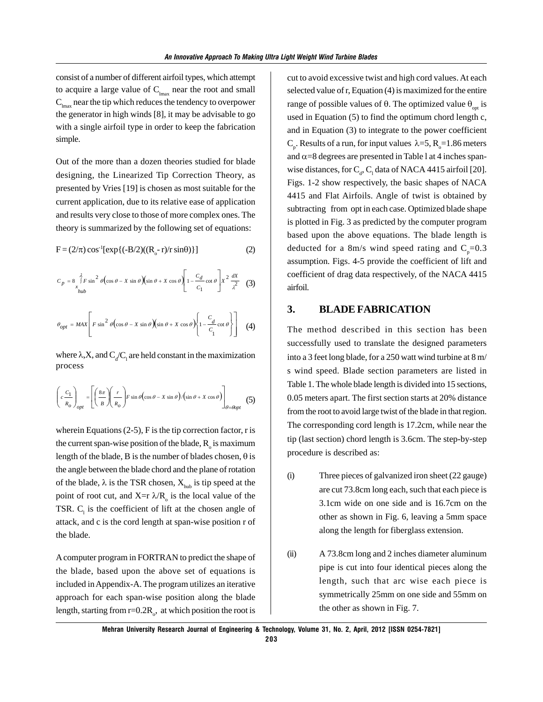consist of a number of different airfoil types, which attempt to acquire a large value of  $C_{\text{max}}$  near the root and small  $C<sub>lmax</sub>$  near the tip which reduces the tendency to overpower the generator in high winds [8], it may be advisable to go with a single airfoil type in order to keep the fabrication simple.

Out of the more than a dozen theories studied for blade designing, the Linearized Tip Correction Theory, as presented by Vries [19] is chosen as most suitable for the current application, due to its relative ease of application and results very close to those of more complex ones. The theory is summarized by the following set of equations:

$$
F = (2/\pi) \cos^{-1} [\exp\{(-B/2)((R_{o} - r)/r \sin\theta)\}]
$$
 (2)

$$
C_p = 8 \int_{x_{hub}}^{\lambda} F \sin^2 \theta \left( \cos \theta - X \sin \theta \right) \left( \sin \theta + X \cos \theta \right) \left[ 1 - \frac{C_d}{C_1} \cot \theta \right] X^2 \frac{dX}{\lambda^2} \tag{3}
$$
  

$$
\theta_{opt} = MAX \left[ F \sin^2 \theta \left( \cos \theta - X \sin \theta \right) \left( \sin \theta + X \cos \theta \right) \left\{ 1 - \frac{C_d}{C_1} \cot \theta \right\} \right] \tag{4}
$$

where  $\lambda$ ,X, and  $C_d/C_1$  are held constant in the maximization process

$$
\left(c\frac{c_1}{R_o}\right)_{opt} = \left[\left(\frac{8\pi}{B}\right)\left(\frac{r}{R_o}\right)F\sin\theta\left(\cos\theta - X\sin\theta\right)/\left(\sin\theta + X\cos\theta\right)\right]_{\theta = \theta opt} (5)
$$

wherein Equations  $(2-5)$ , F is the tip correction factor, r is the current span-wise position of the blade,  $R_{\circ}$  is maximum length of the blade, B is the number of blades chosen,  $\theta$  is the angle between the blade chord and the plane of rotation of the blade,  $\lambda$  is the TSR chosen,  $X_{\text{hub}}$  is tip speed at the point of root cut, and  $X=r \lambda/R_0$  is the local value of the TSR.  $C_1$  is the coefficient of lift at the chosen angle of attack, and c is the cord length at span-wise position r of the blade.

A computer program in FORTRAN to predict the shape of the blade, based upon the above set of equations is included in Appendix-A. The program utilizes an iterative approach for each span-wise position along the blade length, starting from  $r=0.2R$ <sub>o</sub>, at which position the root is

cut to avoid excessive twist and high cord values. At each selected value of r, Equation (4) is maximized for the entire range of possible values of θ. The optimized value  $θ_{\text{opt}}$  is used in Equation (5) to find the optimum chord length c, and in Equation (3) to integrate to the power coefficient C<sub>p</sub>. Results of a run, for input values  $\lambda = 5$ , R<sub>o</sub> = 1.86 meters and  $\alpha$ =8 degrees are presented in Table 1 at 4 inches spanwise distances, for  $C_d$ ,  $C_1$  data of NACA 4415 airfoil [20]. Figs. 1-2 show respectively, the basic shapes of NACA 4415 and Flat Airfoils. Angle of twist is obtained by subtracting from opt in each case. Optimized blade shape is plotted in Fig. 3 as predicted by the computer program based upon the above equations. The blade length is deducted for a 8m/s wind speed rating and  $C_{p}$ =0.3 assumption. Figs. 4-5 provide the coefficient of lift and coefficient of drag data respectively, of the NACA 4415 airfoil.

# **3. BLADE FABRICATION**

The method described in this section has been successfully used to translate the designed parameters into a 3 feet long blade, for a 250 watt wind turbine at 8 m/ s wind speed. Blade section parameters are listed in Table 1. The whole blade length is divided into 15 sections, 0.05 meters apart. The first section starts at 20% distance from the root to avoid large twist of the blade in that region. The corresponding cord length is 17.2cm, while near the tip (last section) chord length is 3.6cm. The step-by-step procedure is described as:

- (i) Three pieces of galvanized iron sheet (22 gauge) are cut 73.8cm long each, such that each piece is 3.1cm wide on one side and is 16.7cm on the other as shown in Fig. 6, leaving a 5mm space along the length for fiberglass extension.
- (ii) A 73.8cm long and 2 inches diameter aluminum pipe is cut into four identical pieces along the length, such that arc wise each piece is symmetrically 25mm on one side and 55mm on the other as shown in Fig. 7.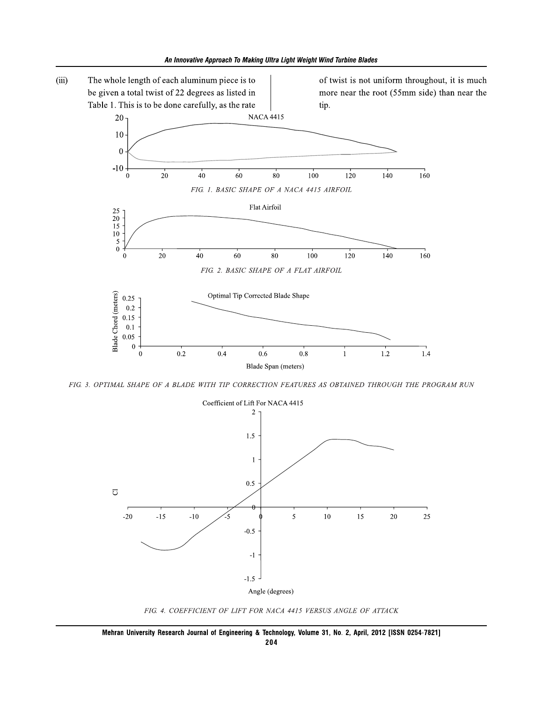

FIG. 3. OPTIMAL SHAPE OF A BLADE WITH TIP CORRECTION FEATURES AS OBTAINED THROUGH THE PROGRAM RUN



FIG. 4. COEFFICIENT OF LIFT FOR NACA 4415 VERSUS ANGLE OF ATTACK

Mehran University Research Journal of Engineering & Technology, Volume 31, No. 2, April, 2012 [ISSN 0254-7821] 204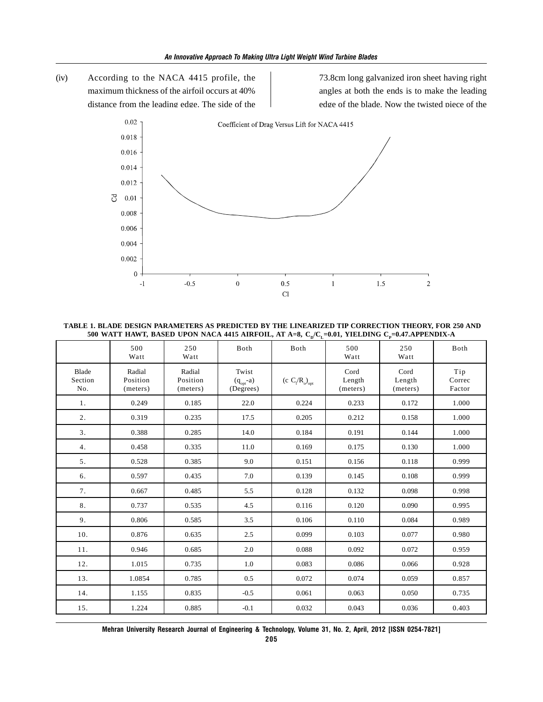(iv) According to the NACA 4415 profile, the maximum thickness of the airfoil occurs at 40% distance from the leading edge. The side of the 73.8cm long galvanized iron sheet having right angles at both the ends is to make the leading edge of the blade. Now the twisted piece of the



 **TABLE 1. BLADE DESIGN PARAMETERS AS PREDICTED BY THE LINEARIZED TIP CORRECTION THEORY, FOR 250 AND** 500 WATT HAWT, BASED UPON NACA 4415 AIRFOIL, AT A=8,  $C_p/C_r=0.01$ , YIELDING  $C_p=0.47$ .APPENDIX-A

|                         | 500<br>Watt                    | 250<br>Watt                    | Both                                | Both                          | 500<br>Watt                | 250<br>Watt                | Both                    |
|-------------------------|--------------------------------|--------------------------------|-------------------------------------|-------------------------------|----------------------------|----------------------------|-------------------------|
| Blade<br>Section<br>No. | Radial<br>Position<br>(meters) | Radial<br>Position<br>(meters) | Twist<br>$(q_{opt}-a)$<br>(Degrees) | (c $C_l/R_o$ ) <sub>opt</sub> | Cord<br>Length<br>(meters) | Cord<br>Length<br>(meters) | Tip<br>Correc<br>Factor |
| 1.                      | 0.249                          | 0.185                          | 22.0                                | 0.224                         | 0.233                      | 0.172                      | 1.000                   |
| 2.                      | 0.319                          | 0.235                          | 17.5                                | 0.205                         | 0.212                      | 0.158                      | 1.000                   |
| 3.                      | 0.388                          | 0.285                          | 14.0                                | 0.184                         | 0.191                      | 0.144                      | 1.000                   |
| 4.                      | 0.458                          | 0.335                          | 11.0                                | 0.169                         | 0.175                      | 0.130                      | 1.000                   |
| 5.                      | 0.528                          | 0.385                          | 9.0                                 | 0.151                         | 0.156                      | 0.118                      | 0.999                   |
| 6.                      | 0.597                          | 0.435                          | 7.0                                 | 0.139                         | 0.145                      | 0.108                      | 0.999                   |
| 7.                      | 0.667                          | 0.485                          | 5.5                                 | 0.128                         | 0.132                      | 0.098                      | 0.998                   |
| 8.                      | 0.737                          | 0.535                          | 4.5                                 | 0.116                         | 0.120                      | 0.090                      | 0.995                   |
| 9.                      | 0.806                          | 0.585                          | 3.5                                 | 0.106                         | 0.110                      | 0.084                      | 0.989                   |
| 10.                     | 0.876                          | 0.635                          | 2.5                                 | 0.099                         | 0.103                      | 0.077                      | 0.980                   |
| 11.                     | 0.946                          | 0.685                          | 2.0                                 | 0.088                         | 0.092                      | 0.072                      | 0.959                   |
| 12.                     | 1.015                          | 0.735                          | 1.0                                 | 0.083                         | 0.086                      | 0.066                      | 0.928                   |
| 13.                     | 1.0854                         | 0.785                          | 0.5                                 | 0.072                         | 0.074                      | 0.059                      | 0.857                   |
| 14.                     | 1.155                          | 0.835                          | $-0.5$                              | 0.061                         | 0.063                      | 0.050                      | 0.735                   |
| 15.                     | 1.224                          | 0.885                          | $-0.1$                              | 0.032                         | 0.043                      | 0.036                      | 0.403                   |

**Mehran University Research Journal of Engineering & Technology, Volume 31, No. 2, April, 2012 [ISSN 0254-7821]**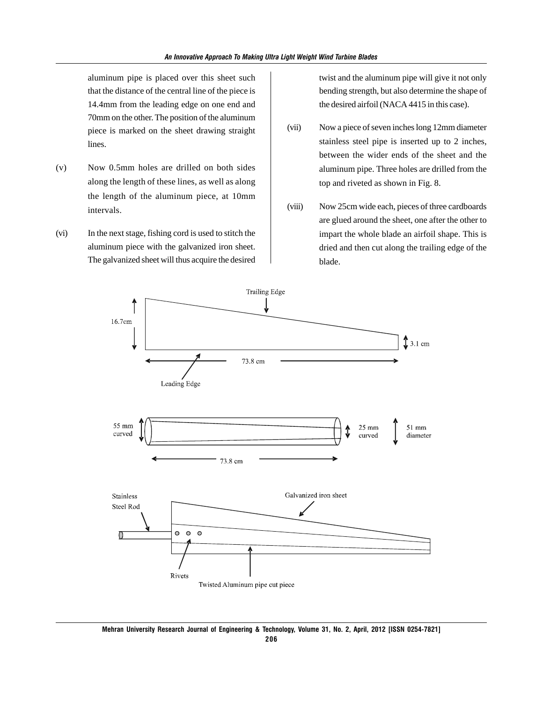aluminum pipe is placed over this sheet such that the distance of the central line of the piece is 14.4mm from the leading edge on one end and 70mm on the other. The position of the aluminum piece is marked on the sheet drawing straight lines.

- (v) Now 0.5mm holes are drilled on both sides along the length of these lines, as well as along the length of the aluminum piece, at 10mm intervals.
- (vi) In the next stage, fishing cord is used to stitch the aluminum piece with the galvanized iron sheet. The galvanized sheet will thus acquire the desired

twist and the aluminum pipe will give it not only bending strength, but also determine the shape of the desired airfoil (NACA 4415 in this case).

- (vii) Now a piece of seven inches long 12mm diameter stainless steel pipe is inserted up to 2 inches, between the wider ends of the sheet and the aluminum pipe. Three holes are drilled from the top and riveted as shown in Fig. 8.
- (viii) Now 25cm wide each, pieces of three cardboards are glued around the sheet, one after the other to impart the whole blade an airfoil shape. This is dried and then cut along the trailing edge of the blade.

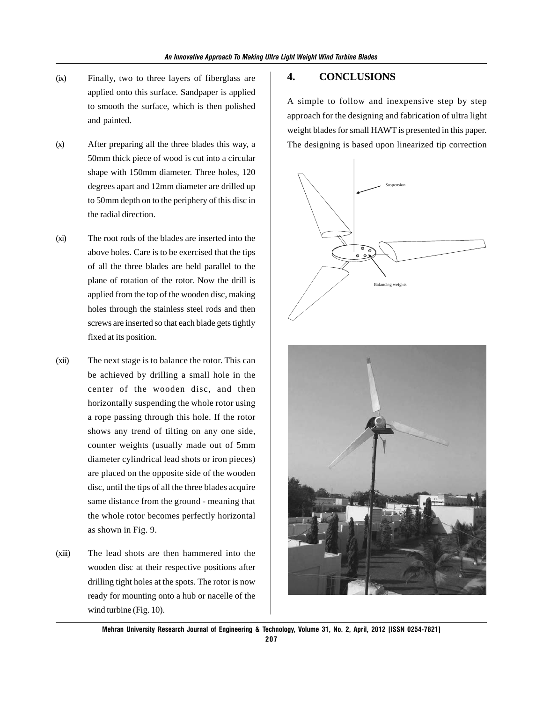- (ix) Finally, two to three layers of fiberglass are applied onto this surface. Sandpaper is applied to smooth the surface, which is then polished and painted.
- (x) After preparing all the three blades this way, a 50mm thick piece of wood is cut into a circular shape with 150mm diameter. Three holes, 120 degrees apart and 12mm diameter are drilled up to 50mm depth on to the periphery of this disc in the radial direction.
- (xi) The root rods of the blades are inserted into the above holes. Care is to be exercised that the tips of all the three blades are held parallel to the plane of rotation of the rotor. Now the drill is applied from the top of the wooden disc, making holes through the stainless steel rods and then screws are inserted so that each blade gets tightly fixed at its position.
- (xii) The next stage is to balance the rotor. This can be achieved by drilling a small hole in the center of the wooden disc, and then horizontally suspending the whole rotor using a rope passing through this hole. If the rotor shows any trend of tilting on any one side, counter weights (usually made out of 5mm diameter cylindrical lead shots or iron pieces) are placed on the opposite side of the wooden disc, until the tips of all the three blades acquire same distance from the ground - meaning that the whole rotor becomes perfectly horizontal as shown in Fig. 9.
- (xiii) The lead shots are then hammered into the wooden disc at their respective positions after drilling tight holes at the spots. The rotor is now ready for mounting onto a hub or nacelle of the wind turbine (Fig. 10).

#### **4. CONCLUSIONS**

A simple to follow and inexpensive step by step approach for the designing and fabrication of ultra light weight blades for small HAWT is presented in this paper. The designing is based upon linearized tip correction





**Mehran University Research Journal of Engineering & Technology, Volume 31, No. 2, April, 2012 [ISSN 0254-7821] 207**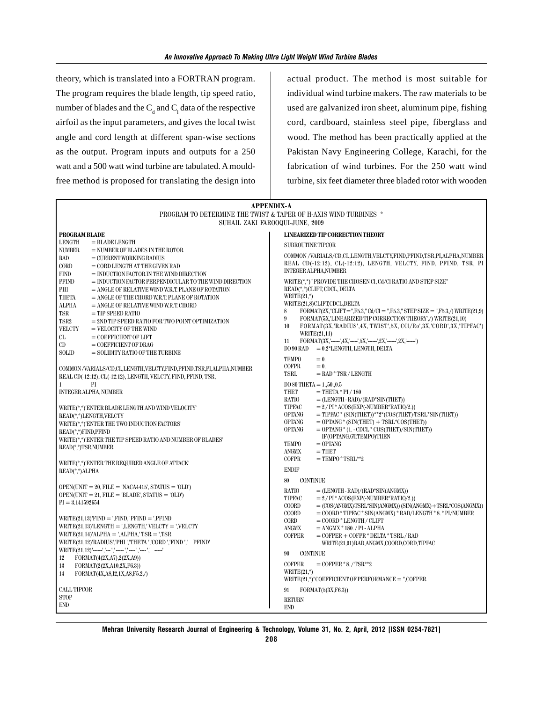theory, which is translated into a FORTRAN program. The program requires the blade length, tip speed ratio, number of blades and the  $C_d$  and  $C_l$  data of the respective airfoil as the input parameters, and gives the local twist angle and cord length at different span-wise sections as the output. Program inputs and outputs for a 250 watt and a 500 watt wind turbine are tabulated. A mouldfree method is proposed for translating the design into actual product. The method is most suitable for individual wind turbine makers. The raw materials to be used are galvanized iron sheet, aluminum pipe, fishing cord, cardboard, stainless steel pipe, fiberglass and wood. The method has been practically applied at the Pakistan Navy Engineering College, Karachi, for the fabrication of wind turbines. For the 250 watt wind turbine, six feet diameter three bladed rotor with wooden

| PROGRAM TO DETERMINE THE TWIST & TAPER OF H-AXIS WIND TURBINES *<br>SUHAIL ZAKI FAROOQUI-JUNE, 2009<br>PROGRAM BLADE<br>LINEARIZED TIP CORRECTION THEORY<br><b>LENGTH</b><br>$=$ BLADE LENGTH<br><b>SUBROUTINE TIPCOR</b><br><b>NUMBER</b><br>$=$ NUMBER OF BLADES IN THE ROTOR<br>COMMON /VARIALS/CD,CL,LENGTH,VELCTY,FIND,PFIND,TSR,PI,ALPHA,NUMBER<br><b>RAD</b><br>$=$ CURRENT WORKING RADIUS<br>REAL CD(-12:12), CL(-12:12), LENGTH, VELCTY, FIND, PFIND, TSR, PI<br>CORD<br>$=$ CORD LENGTH AT THE GIVEN RAD<br><b>INTEGER ALPHA, NUMBER</b><br><b>FIND</b><br>$=$ INDUCTION FACTOR IN THE WIND DIRECTION<br>WRITE(*,*)" PROVIDE THE CHOSEN CI, Cd/CI RATIO AND STEP SIZE"<br><b>PFIND</b><br>$=$ INDUCTION FACTOR PERPENDICULAR TO THE WIND DIRECTION<br>READ(*,*)CLIFT, CDCL, DELTA<br>PHI<br>$=$ ANGLE OF RELATIVE WIND W.R.T. PLANE OF ROTATION<br>WRITE $(21,^*)$<br>THETA<br>$=$ ANGLE OF THE CHORD W.R.T. PLANE OF ROTATION<br>WRITE(21,8)CLIFT,CDCL,DELTA<br><b>ALPHA</b><br>$=$ ANGLE OF RELATIVE WIND W.R.T. CHORD<br>$\text{FORMAT}(2\text{X}, \text{"CLIFT} = \text{"F5.3}, \text{"Cd/Cl} = \text{"F5.3}, \text{"STEP SIZE} = \text{"F5.3,} \text{/ WRITE}(21,9)$<br>8<br>TSR<br>$=$ TIP SPEED RATIO<br>FORMAT(5X,'LINEARIZED TIP CORRECTION THEORY' /) WRITE(21,10)<br>9<br>TSR <sub>2</sub><br>$= 2ND$ TIP SPEED RATIO FOR TWO POINT OPTIMIZATION<br>10<br>FORMAT(3X,'RADIUS',4X,'TWIST',5X,'CCl/Ro',3X,'CORD',3X,'TIPFAC')<br><b>VELCTY</b><br>$=$ VELOCITY OF THE WIND<br>WRITE(21,11)<br>CL<br>$=$ COEFFICIENT OF LIFT<br>FORMAT(3X,'----',4X,'----',5X,'-----',2X,'-----',2X,'-----')<br>11<br>CD<br>$=$ COEFFICIENT OF DRAG<br>$DO 90 RAD = 0.2*LENGTH, LENGTH, DELTA$<br><b>SOLID</b><br>$=$ SOLIDITY RATIO OF THE TURBINE<br><b>TEMPO</b><br>$= 0.$<br><b>COFPR</b><br>$= 0.$<br>COMMON/VARIALS/CD,CL,LENGTH,VELCTY,FIND,PFIND,TSR,PI,ALPHA,NUMBER<br>TSRL<br>$=$ RAD * TSR / LENGTH<br>REAL CD(-12:12), CL(-12:12), LENGTH, VELCTY, FIND, PFIND, TSR,<br>PI<br>$\mathbf{1}$<br>$DO 80$ THETA = 1500.5<br><b>INTEGER ALPHA, NUMBER</b><br>THET<br>$=$ THETA $*$ PI / 180<br><b>RATIO</b><br>$=$ (LENGTH - RAD)/(RAD*SIN(THET))<br>$= 2./ PI * ACOS(EXP(-NUMBER*RATIO/2.))$<br>TIPFAC<br>WRITE(*,*)'ENTER BLADE LENGTH AND WIND VELOCITY'<br>$=$ TIPFAC * (SIN(THET))**2*(COS(THET)-TSRL*SIN(THET))<br><b>OPTANG</b><br>READ(*,*)LENGTH,VELCTY<br>$=$ OPTANG $*$ (SIN(THET) + TSRL $*$ COS(THET))<br><b>OPTANG</b><br>WRITE(*,*)'ENTER THE TWO INDUCTION FACTORS'<br><b>OPTANG</b><br>$=$ OPTANG $*(1.-$ CDCL $*$ COS(THET)/SIN(THET))<br>READ(*,*)FIND,PFIND<br>IF(OPTANG.GT.TEMPO)THEN<br>WRITE(*,*)'ENTER THE TIP SPEED RATIO AND NUMBER OF BLADES'<br><b>TEMPO</b><br>$=$ OPTANG<br>READ(*,*)TSR,NUMBER<br><b>ANGMX</b><br>$=$ THET<br><b>COFPR</b><br>$=$ TEMPO $*$ TSRL $*$ $*$ 2<br>WRITE(*,*)'ENTER THE REQUIRED ANGLE OF ATTACK'<br><b>ENDIF</b><br>READ(*,*)ALPHA<br>80<br><b>CONTINUE</b><br>$OPEN(UNIT = 20, FILE = 'NACA4415', STATUS = 'OLD')$<br>RATIO<br>$=$ (LENGTH - RAD)/(RAD*SIN(ANGMX))<br>$OPEN(UNIT = 21, FILE = 'BLADE', STATUS = 'OLD')$<br>$= 2./ PI * ACOS(EXP(-NUMBER*RATIO/2.))$<br>TIPFAC<br>$PI = 3.141592654$<br><b>COORD</b><br>$= (COS(ANGMX)$ -TSRL*SIN(ANGMX)) (SIN(ANGMX) + TSRL*COS(ANGMX))<br>$=$ COORD * TIPFAC * SIN(ANGMX) * RAD/LENGTH * 8. * PI/NUMBER<br><b>COORD</b><br>$WRITE(21,13)$ $FIND = 'FIND'$ $PFIND = 'PFIND$<br>CORD<br>$=$ COORD $*$ LENGTH / CLIFT<br>$WRITE(21,13)'LENGTH = 'LENGTH' VELCTY = 'VELCTY$<br>ANGMX<br>$= ANGMX * 180. / PI - ALPHA$<br>$WRITE(21,14)^\prime ALPHA = \prime ALPHA$ , $TSR = \prime TSR$<br><b>COFPER</b><br>$=$ COFPER $+$ COFPR $*$ DELTA $*$ TSRL/RAD<br>WRITE(21,12)'RADIUS','PHI ','THETA ','CORD ','FIND ',' PFIND'<br>WRITE(21,91)RAD,ANGMX,COORD,CORD,TIPFAC<br>WRITE(21,12)'-----','---','----','----','----',' -----'<br>90<br><b>CONTINUE</b><br>12<br>FORMAT(4(2X,A7),2(2X,A9))<br><b>COFPER</b><br>$=$ COFPER $*8.7$ TSR $*2$<br>13<br>FORMAT(2(2X,A10,2X,F6.3))<br>WRITE $(21,^*)$ | <b>APPENDIX-A</b>                         |  |  |  |  |  |  |  |
|-------------------------------------------------------------------------------------------------------------------------------------------------------------------------------------------------------------------------------------------------------------------------------------------------------------------------------------------------------------------------------------------------------------------------------------------------------------------------------------------------------------------------------------------------------------------------------------------------------------------------------------------------------------------------------------------------------------------------------------------------------------------------------------------------------------------------------------------------------------------------------------------------------------------------------------------------------------------------------------------------------------------------------------------------------------------------------------------------------------------------------------------------------------------------------------------------------------------------------------------------------------------------------------------------------------------------------------------------------------------------------------------------------------------------------------------------------------------------------------------------------------------------------------------------------------------------------------------------------------------------------------------------------------------------------------------------------------------------------------------------------------------------------------------------------------------------------------------------------------------------------------------------------------------------------------------------------------------------------------------------------------------------------------------------------------------------------------------------------------------------------------------------------------------------------------------------------------------------------------------------------------------------------------------------------------------------------------------------------------------------------------------------------------------------------------------------------------------------------------------------------------------------------------------------------------------------------------------------------------------------------------------------------------------------------------------------------------------------------------------------------------------------------------------------------------------------------------------------------------------------------------------------------------------------------------------------------------------------------------------------------------------------------------------------------------------------------------------------------------------------------------------------------------------------------------------------------------------------------------------------------------------------------------------------------------------------------------------------------------------------------------------------------------------------------------------------------------------------------------------------------------------------------------------------------------------------------------------------------------------------------------------------------------------------------------------------------------------------------------------------------------------------------------------------------------------------------------------------------------------------------------------------------------------------------------------------------------------------------------------------------------------|-------------------------------------------|--|--|--|--|--|--|--|
|                                                                                                                                                                                                                                                                                                                                                                                                                                                                                                                                                                                                                                                                                                                                                                                                                                                                                                                                                                                                                                                                                                                                                                                                                                                                                                                                                                                                                                                                                                                                                                                                                                                                                                                                                                                                                                                                                                                                                                                                                                                                                                                                                                                                                                                                                                                                                                                                                                                                                                                                                                                                                                                                                                                                                                                                                                                                                                                                                                                                                                                                                                                                                                                                                                                                                                                                                                                                                                                                                                                                                                                                                                                                                                                                                                                                                                                                                                                                                                                                                   |                                           |  |  |  |  |  |  |  |
|                                                                                                                                                                                                                                                                                                                                                                                                                                                                                                                                                                                                                                                                                                                                                                                                                                                                                                                                                                                                                                                                                                                                                                                                                                                                                                                                                                                                                                                                                                                                                                                                                                                                                                                                                                                                                                                                                                                                                                                                                                                                                                                                                                                                                                                                                                                                                                                                                                                                                                                                                                                                                                                                                                                                                                                                                                                                                                                                                                                                                                                                                                                                                                                                                                                                                                                                                                                                                                                                                                                                                                                                                                                                                                                                                                                                                                                                                                                                                                                                                   |                                           |  |  |  |  |  |  |  |
|                                                                                                                                                                                                                                                                                                                                                                                                                                                                                                                                                                                                                                                                                                                                                                                                                                                                                                                                                                                                                                                                                                                                                                                                                                                                                                                                                                                                                                                                                                                                                                                                                                                                                                                                                                                                                                                                                                                                                                                                                                                                                                                                                                                                                                                                                                                                                                                                                                                                                                                                                                                                                                                                                                                                                                                                                                                                                                                                                                                                                                                                                                                                                                                                                                                                                                                                                                                                                                                                                                                                                                                                                                                                                                                                                                                                                                                                                                                                                                                                                   |                                           |  |  |  |  |  |  |  |
|                                                                                                                                                                                                                                                                                                                                                                                                                                                                                                                                                                                                                                                                                                                                                                                                                                                                                                                                                                                                                                                                                                                                                                                                                                                                                                                                                                                                                                                                                                                                                                                                                                                                                                                                                                                                                                                                                                                                                                                                                                                                                                                                                                                                                                                                                                                                                                                                                                                                                                                                                                                                                                                                                                                                                                                                                                                                                                                                                                                                                                                                                                                                                                                                                                                                                                                                                                                                                                                                                                                                                                                                                                                                                                                                                                                                                                                                                                                                                                                                                   |                                           |  |  |  |  |  |  |  |
|                                                                                                                                                                                                                                                                                                                                                                                                                                                                                                                                                                                                                                                                                                                                                                                                                                                                                                                                                                                                                                                                                                                                                                                                                                                                                                                                                                                                                                                                                                                                                                                                                                                                                                                                                                                                                                                                                                                                                                                                                                                                                                                                                                                                                                                                                                                                                                                                                                                                                                                                                                                                                                                                                                                                                                                                                                                                                                                                                                                                                                                                                                                                                                                                                                                                                                                                                                                                                                                                                                                                                                                                                                                                                                                                                                                                                                                                                                                                                                                                                   |                                           |  |  |  |  |  |  |  |
|                                                                                                                                                                                                                                                                                                                                                                                                                                                                                                                                                                                                                                                                                                                                                                                                                                                                                                                                                                                                                                                                                                                                                                                                                                                                                                                                                                                                                                                                                                                                                                                                                                                                                                                                                                                                                                                                                                                                                                                                                                                                                                                                                                                                                                                                                                                                                                                                                                                                                                                                                                                                                                                                                                                                                                                                                                                                                                                                                                                                                                                                                                                                                                                                                                                                                                                                                                                                                                                                                                                                                                                                                                                                                                                                                                                                                                                                                                                                                                                                                   |                                           |  |  |  |  |  |  |  |
|                                                                                                                                                                                                                                                                                                                                                                                                                                                                                                                                                                                                                                                                                                                                                                                                                                                                                                                                                                                                                                                                                                                                                                                                                                                                                                                                                                                                                                                                                                                                                                                                                                                                                                                                                                                                                                                                                                                                                                                                                                                                                                                                                                                                                                                                                                                                                                                                                                                                                                                                                                                                                                                                                                                                                                                                                                                                                                                                                                                                                                                                                                                                                                                                                                                                                                                                                                                                                                                                                                                                                                                                                                                                                                                                                                                                                                                                                                                                                                                                                   |                                           |  |  |  |  |  |  |  |
|                                                                                                                                                                                                                                                                                                                                                                                                                                                                                                                                                                                                                                                                                                                                                                                                                                                                                                                                                                                                                                                                                                                                                                                                                                                                                                                                                                                                                                                                                                                                                                                                                                                                                                                                                                                                                                                                                                                                                                                                                                                                                                                                                                                                                                                                                                                                                                                                                                                                                                                                                                                                                                                                                                                                                                                                                                                                                                                                                                                                                                                                                                                                                                                                                                                                                                                                                                                                                                                                                                                                                                                                                                                                                                                                                                                                                                                                                                                                                                                                                   |                                           |  |  |  |  |  |  |  |
|                                                                                                                                                                                                                                                                                                                                                                                                                                                                                                                                                                                                                                                                                                                                                                                                                                                                                                                                                                                                                                                                                                                                                                                                                                                                                                                                                                                                                                                                                                                                                                                                                                                                                                                                                                                                                                                                                                                                                                                                                                                                                                                                                                                                                                                                                                                                                                                                                                                                                                                                                                                                                                                                                                                                                                                                                                                                                                                                                                                                                                                                                                                                                                                                                                                                                                                                                                                                                                                                                                                                                                                                                                                                                                                                                                                                                                                                                                                                                                                                                   |                                           |  |  |  |  |  |  |  |
|                                                                                                                                                                                                                                                                                                                                                                                                                                                                                                                                                                                                                                                                                                                                                                                                                                                                                                                                                                                                                                                                                                                                                                                                                                                                                                                                                                                                                                                                                                                                                                                                                                                                                                                                                                                                                                                                                                                                                                                                                                                                                                                                                                                                                                                                                                                                                                                                                                                                                                                                                                                                                                                                                                                                                                                                                                                                                                                                                                                                                                                                                                                                                                                                                                                                                                                                                                                                                                                                                                                                                                                                                                                                                                                                                                                                                                                                                                                                                                                                                   |                                           |  |  |  |  |  |  |  |
|                                                                                                                                                                                                                                                                                                                                                                                                                                                                                                                                                                                                                                                                                                                                                                                                                                                                                                                                                                                                                                                                                                                                                                                                                                                                                                                                                                                                                                                                                                                                                                                                                                                                                                                                                                                                                                                                                                                                                                                                                                                                                                                                                                                                                                                                                                                                                                                                                                                                                                                                                                                                                                                                                                                                                                                                                                                                                                                                                                                                                                                                                                                                                                                                                                                                                                                                                                                                                                                                                                                                                                                                                                                                                                                                                                                                                                                                                                                                                                                                                   |                                           |  |  |  |  |  |  |  |
|                                                                                                                                                                                                                                                                                                                                                                                                                                                                                                                                                                                                                                                                                                                                                                                                                                                                                                                                                                                                                                                                                                                                                                                                                                                                                                                                                                                                                                                                                                                                                                                                                                                                                                                                                                                                                                                                                                                                                                                                                                                                                                                                                                                                                                                                                                                                                                                                                                                                                                                                                                                                                                                                                                                                                                                                                                                                                                                                                                                                                                                                                                                                                                                                                                                                                                                                                                                                                                                                                                                                                                                                                                                                                                                                                                                                                                                                                                                                                                                                                   |                                           |  |  |  |  |  |  |  |
|                                                                                                                                                                                                                                                                                                                                                                                                                                                                                                                                                                                                                                                                                                                                                                                                                                                                                                                                                                                                                                                                                                                                                                                                                                                                                                                                                                                                                                                                                                                                                                                                                                                                                                                                                                                                                                                                                                                                                                                                                                                                                                                                                                                                                                                                                                                                                                                                                                                                                                                                                                                                                                                                                                                                                                                                                                                                                                                                                                                                                                                                                                                                                                                                                                                                                                                                                                                                                                                                                                                                                                                                                                                                                                                                                                                                                                                                                                                                                                                                                   |                                           |  |  |  |  |  |  |  |
|                                                                                                                                                                                                                                                                                                                                                                                                                                                                                                                                                                                                                                                                                                                                                                                                                                                                                                                                                                                                                                                                                                                                                                                                                                                                                                                                                                                                                                                                                                                                                                                                                                                                                                                                                                                                                                                                                                                                                                                                                                                                                                                                                                                                                                                                                                                                                                                                                                                                                                                                                                                                                                                                                                                                                                                                                                                                                                                                                                                                                                                                                                                                                                                                                                                                                                                                                                                                                                                                                                                                                                                                                                                                                                                                                                                                                                                                                                                                                                                                                   |                                           |  |  |  |  |  |  |  |
|                                                                                                                                                                                                                                                                                                                                                                                                                                                                                                                                                                                                                                                                                                                                                                                                                                                                                                                                                                                                                                                                                                                                                                                                                                                                                                                                                                                                                                                                                                                                                                                                                                                                                                                                                                                                                                                                                                                                                                                                                                                                                                                                                                                                                                                                                                                                                                                                                                                                                                                                                                                                                                                                                                                                                                                                                                                                                                                                                                                                                                                                                                                                                                                                                                                                                                                                                                                                                                                                                                                                                                                                                                                                                                                                                                                                                                                                                                                                                                                                                   |                                           |  |  |  |  |  |  |  |
|                                                                                                                                                                                                                                                                                                                                                                                                                                                                                                                                                                                                                                                                                                                                                                                                                                                                                                                                                                                                                                                                                                                                                                                                                                                                                                                                                                                                                                                                                                                                                                                                                                                                                                                                                                                                                                                                                                                                                                                                                                                                                                                                                                                                                                                                                                                                                                                                                                                                                                                                                                                                                                                                                                                                                                                                                                                                                                                                                                                                                                                                                                                                                                                                                                                                                                                                                                                                                                                                                                                                                                                                                                                                                                                                                                                                                                                                                                                                                                                                                   |                                           |  |  |  |  |  |  |  |
|                                                                                                                                                                                                                                                                                                                                                                                                                                                                                                                                                                                                                                                                                                                                                                                                                                                                                                                                                                                                                                                                                                                                                                                                                                                                                                                                                                                                                                                                                                                                                                                                                                                                                                                                                                                                                                                                                                                                                                                                                                                                                                                                                                                                                                                                                                                                                                                                                                                                                                                                                                                                                                                                                                                                                                                                                                                                                                                                                                                                                                                                                                                                                                                                                                                                                                                                                                                                                                                                                                                                                                                                                                                                                                                                                                                                                                                                                                                                                                                                                   |                                           |  |  |  |  |  |  |  |
|                                                                                                                                                                                                                                                                                                                                                                                                                                                                                                                                                                                                                                                                                                                                                                                                                                                                                                                                                                                                                                                                                                                                                                                                                                                                                                                                                                                                                                                                                                                                                                                                                                                                                                                                                                                                                                                                                                                                                                                                                                                                                                                                                                                                                                                                                                                                                                                                                                                                                                                                                                                                                                                                                                                                                                                                                                                                                                                                                                                                                                                                                                                                                                                                                                                                                                                                                                                                                                                                                                                                                                                                                                                                                                                                                                                                                                                                                                                                                                                                                   |                                           |  |  |  |  |  |  |  |
|                                                                                                                                                                                                                                                                                                                                                                                                                                                                                                                                                                                                                                                                                                                                                                                                                                                                                                                                                                                                                                                                                                                                                                                                                                                                                                                                                                                                                                                                                                                                                                                                                                                                                                                                                                                                                                                                                                                                                                                                                                                                                                                                                                                                                                                                                                                                                                                                                                                                                                                                                                                                                                                                                                                                                                                                                                                                                                                                                                                                                                                                                                                                                                                                                                                                                                                                                                                                                                                                                                                                                                                                                                                                                                                                                                                                                                                                                                                                                                                                                   |                                           |  |  |  |  |  |  |  |
|                                                                                                                                                                                                                                                                                                                                                                                                                                                                                                                                                                                                                                                                                                                                                                                                                                                                                                                                                                                                                                                                                                                                                                                                                                                                                                                                                                                                                                                                                                                                                                                                                                                                                                                                                                                                                                                                                                                                                                                                                                                                                                                                                                                                                                                                                                                                                                                                                                                                                                                                                                                                                                                                                                                                                                                                                                                                                                                                                                                                                                                                                                                                                                                                                                                                                                                                                                                                                                                                                                                                                                                                                                                                                                                                                                                                                                                                                                                                                                                                                   |                                           |  |  |  |  |  |  |  |
|                                                                                                                                                                                                                                                                                                                                                                                                                                                                                                                                                                                                                                                                                                                                                                                                                                                                                                                                                                                                                                                                                                                                                                                                                                                                                                                                                                                                                                                                                                                                                                                                                                                                                                                                                                                                                                                                                                                                                                                                                                                                                                                                                                                                                                                                                                                                                                                                                                                                                                                                                                                                                                                                                                                                                                                                                                                                                                                                                                                                                                                                                                                                                                                                                                                                                                                                                                                                                                                                                                                                                                                                                                                                                                                                                                                                                                                                                                                                                                                                                   |                                           |  |  |  |  |  |  |  |
|                                                                                                                                                                                                                                                                                                                                                                                                                                                                                                                                                                                                                                                                                                                                                                                                                                                                                                                                                                                                                                                                                                                                                                                                                                                                                                                                                                                                                                                                                                                                                                                                                                                                                                                                                                                                                                                                                                                                                                                                                                                                                                                                                                                                                                                                                                                                                                                                                                                                                                                                                                                                                                                                                                                                                                                                                                                                                                                                                                                                                                                                                                                                                                                                                                                                                                                                                                                                                                                                                                                                                                                                                                                                                                                                                                                                                                                                                                                                                                                                                   |                                           |  |  |  |  |  |  |  |
|                                                                                                                                                                                                                                                                                                                                                                                                                                                                                                                                                                                                                                                                                                                                                                                                                                                                                                                                                                                                                                                                                                                                                                                                                                                                                                                                                                                                                                                                                                                                                                                                                                                                                                                                                                                                                                                                                                                                                                                                                                                                                                                                                                                                                                                                                                                                                                                                                                                                                                                                                                                                                                                                                                                                                                                                                                                                                                                                                                                                                                                                                                                                                                                                                                                                                                                                                                                                                                                                                                                                                                                                                                                                                                                                                                                                                                                                                                                                                                                                                   |                                           |  |  |  |  |  |  |  |
|                                                                                                                                                                                                                                                                                                                                                                                                                                                                                                                                                                                                                                                                                                                                                                                                                                                                                                                                                                                                                                                                                                                                                                                                                                                                                                                                                                                                                                                                                                                                                                                                                                                                                                                                                                                                                                                                                                                                                                                                                                                                                                                                                                                                                                                                                                                                                                                                                                                                                                                                                                                                                                                                                                                                                                                                                                                                                                                                                                                                                                                                                                                                                                                                                                                                                                                                                                                                                                                                                                                                                                                                                                                                                                                                                                                                                                                                                                                                                                                                                   |                                           |  |  |  |  |  |  |  |
|                                                                                                                                                                                                                                                                                                                                                                                                                                                                                                                                                                                                                                                                                                                                                                                                                                                                                                                                                                                                                                                                                                                                                                                                                                                                                                                                                                                                                                                                                                                                                                                                                                                                                                                                                                                                                                                                                                                                                                                                                                                                                                                                                                                                                                                                                                                                                                                                                                                                                                                                                                                                                                                                                                                                                                                                                                                                                                                                                                                                                                                                                                                                                                                                                                                                                                                                                                                                                                                                                                                                                                                                                                                                                                                                                                                                                                                                                                                                                                                                                   |                                           |  |  |  |  |  |  |  |
|                                                                                                                                                                                                                                                                                                                                                                                                                                                                                                                                                                                                                                                                                                                                                                                                                                                                                                                                                                                                                                                                                                                                                                                                                                                                                                                                                                                                                                                                                                                                                                                                                                                                                                                                                                                                                                                                                                                                                                                                                                                                                                                                                                                                                                                                                                                                                                                                                                                                                                                                                                                                                                                                                                                                                                                                                                                                                                                                                                                                                                                                                                                                                                                                                                                                                                                                                                                                                                                                                                                                                                                                                                                                                                                                                                                                                                                                                                                                                                                                                   |                                           |  |  |  |  |  |  |  |
|                                                                                                                                                                                                                                                                                                                                                                                                                                                                                                                                                                                                                                                                                                                                                                                                                                                                                                                                                                                                                                                                                                                                                                                                                                                                                                                                                                                                                                                                                                                                                                                                                                                                                                                                                                                                                                                                                                                                                                                                                                                                                                                                                                                                                                                                                                                                                                                                                                                                                                                                                                                                                                                                                                                                                                                                                                                                                                                                                                                                                                                                                                                                                                                                                                                                                                                                                                                                                                                                                                                                                                                                                                                                                                                                                                                                                                                                                                                                                                                                                   |                                           |  |  |  |  |  |  |  |
|                                                                                                                                                                                                                                                                                                                                                                                                                                                                                                                                                                                                                                                                                                                                                                                                                                                                                                                                                                                                                                                                                                                                                                                                                                                                                                                                                                                                                                                                                                                                                                                                                                                                                                                                                                                                                                                                                                                                                                                                                                                                                                                                                                                                                                                                                                                                                                                                                                                                                                                                                                                                                                                                                                                                                                                                                                                                                                                                                                                                                                                                                                                                                                                                                                                                                                                                                                                                                                                                                                                                                                                                                                                                                                                                                                                                                                                                                                                                                                                                                   |                                           |  |  |  |  |  |  |  |
|                                                                                                                                                                                                                                                                                                                                                                                                                                                                                                                                                                                                                                                                                                                                                                                                                                                                                                                                                                                                                                                                                                                                                                                                                                                                                                                                                                                                                                                                                                                                                                                                                                                                                                                                                                                                                                                                                                                                                                                                                                                                                                                                                                                                                                                                                                                                                                                                                                                                                                                                                                                                                                                                                                                                                                                                                                                                                                                                                                                                                                                                                                                                                                                                                                                                                                                                                                                                                                                                                                                                                                                                                                                                                                                                                                                                                                                                                                                                                                                                                   |                                           |  |  |  |  |  |  |  |
|                                                                                                                                                                                                                                                                                                                                                                                                                                                                                                                                                                                                                                                                                                                                                                                                                                                                                                                                                                                                                                                                                                                                                                                                                                                                                                                                                                                                                                                                                                                                                                                                                                                                                                                                                                                                                                                                                                                                                                                                                                                                                                                                                                                                                                                                                                                                                                                                                                                                                                                                                                                                                                                                                                                                                                                                                                                                                                                                                                                                                                                                                                                                                                                                                                                                                                                                                                                                                                                                                                                                                                                                                                                                                                                                                                                                                                                                                                                                                                                                                   |                                           |  |  |  |  |  |  |  |
|                                                                                                                                                                                                                                                                                                                                                                                                                                                                                                                                                                                                                                                                                                                                                                                                                                                                                                                                                                                                                                                                                                                                                                                                                                                                                                                                                                                                                                                                                                                                                                                                                                                                                                                                                                                                                                                                                                                                                                                                                                                                                                                                                                                                                                                                                                                                                                                                                                                                                                                                                                                                                                                                                                                                                                                                                                                                                                                                                                                                                                                                                                                                                                                                                                                                                                                                                                                                                                                                                                                                                                                                                                                                                                                                                                                                                                                                                                                                                                                                                   |                                           |  |  |  |  |  |  |  |
|                                                                                                                                                                                                                                                                                                                                                                                                                                                                                                                                                                                                                                                                                                                                                                                                                                                                                                                                                                                                                                                                                                                                                                                                                                                                                                                                                                                                                                                                                                                                                                                                                                                                                                                                                                                                                                                                                                                                                                                                                                                                                                                                                                                                                                                                                                                                                                                                                                                                                                                                                                                                                                                                                                                                                                                                                                                                                                                                                                                                                                                                                                                                                                                                                                                                                                                                                                                                                                                                                                                                                                                                                                                                                                                                                                                                                                                                                                                                                                                                                   |                                           |  |  |  |  |  |  |  |
|                                                                                                                                                                                                                                                                                                                                                                                                                                                                                                                                                                                                                                                                                                                                                                                                                                                                                                                                                                                                                                                                                                                                                                                                                                                                                                                                                                                                                                                                                                                                                                                                                                                                                                                                                                                                                                                                                                                                                                                                                                                                                                                                                                                                                                                                                                                                                                                                                                                                                                                                                                                                                                                                                                                                                                                                                                                                                                                                                                                                                                                                                                                                                                                                                                                                                                                                                                                                                                                                                                                                                                                                                                                                                                                                                                                                                                                                                                                                                                                                                   |                                           |  |  |  |  |  |  |  |
|                                                                                                                                                                                                                                                                                                                                                                                                                                                                                                                                                                                                                                                                                                                                                                                                                                                                                                                                                                                                                                                                                                                                                                                                                                                                                                                                                                                                                                                                                                                                                                                                                                                                                                                                                                                                                                                                                                                                                                                                                                                                                                                                                                                                                                                                                                                                                                                                                                                                                                                                                                                                                                                                                                                                                                                                                                                                                                                                                                                                                                                                                                                                                                                                                                                                                                                                                                                                                                                                                                                                                                                                                                                                                                                                                                                                                                                                                                                                                                                                                   |                                           |  |  |  |  |  |  |  |
|                                                                                                                                                                                                                                                                                                                                                                                                                                                                                                                                                                                                                                                                                                                                                                                                                                                                                                                                                                                                                                                                                                                                                                                                                                                                                                                                                                                                                                                                                                                                                                                                                                                                                                                                                                                                                                                                                                                                                                                                                                                                                                                                                                                                                                                                                                                                                                                                                                                                                                                                                                                                                                                                                                                                                                                                                                                                                                                                                                                                                                                                                                                                                                                                                                                                                                                                                                                                                                                                                                                                                                                                                                                                                                                                                                                                                                                                                                                                                                                                                   |                                           |  |  |  |  |  |  |  |
|                                                                                                                                                                                                                                                                                                                                                                                                                                                                                                                                                                                                                                                                                                                                                                                                                                                                                                                                                                                                                                                                                                                                                                                                                                                                                                                                                                                                                                                                                                                                                                                                                                                                                                                                                                                                                                                                                                                                                                                                                                                                                                                                                                                                                                                                                                                                                                                                                                                                                                                                                                                                                                                                                                                                                                                                                                                                                                                                                                                                                                                                                                                                                                                                                                                                                                                                                                                                                                                                                                                                                                                                                                                                                                                                                                                                                                                                                                                                                                                                                   |                                           |  |  |  |  |  |  |  |
|                                                                                                                                                                                                                                                                                                                                                                                                                                                                                                                                                                                                                                                                                                                                                                                                                                                                                                                                                                                                                                                                                                                                                                                                                                                                                                                                                                                                                                                                                                                                                                                                                                                                                                                                                                                                                                                                                                                                                                                                                                                                                                                                                                                                                                                                                                                                                                                                                                                                                                                                                                                                                                                                                                                                                                                                                                                                                                                                                                                                                                                                                                                                                                                                                                                                                                                                                                                                                                                                                                                                                                                                                                                                                                                                                                                                                                                                                                                                                                                                                   |                                           |  |  |  |  |  |  |  |
|                                                                                                                                                                                                                                                                                                                                                                                                                                                                                                                                                                                                                                                                                                                                                                                                                                                                                                                                                                                                                                                                                                                                                                                                                                                                                                                                                                                                                                                                                                                                                                                                                                                                                                                                                                                                                                                                                                                                                                                                                                                                                                                                                                                                                                                                                                                                                                                                                                                                                                                                                                                                                                                                                                                                                                                                                                                                                                                                                                                                                                                                                                                                                                                                                                                                                                                                                                                                                                                                                                                                                                                                                                                                                                                                                                                                                                                                                                                                                                                                                   |                                           |  |  |  |  |  |  |  |
|                                                                                                                                                                                                                                                                                                                                                                                                                                                                                                                                                                                                                                                                                                                                                                                                                                                                                                                                                                                                                                                                                                                                                                                                                                                                                                                                                                                                                                                                                                                                                                                                                                                                                                                                                                                                                                                                                                                                                                                                                                                                                                                                                                                                                                                                                                                                                                                                                                                                                                                                                                                                                                                                                                                                                                                                                                                                                                                                                                                                                                                                                                                                                                                                                                                                                                                                                                                                                                                                                                                                                                                                                                                                                                                                                                                                                                                                                                                                                                                                                   |                                           |  |  |  |  |  |  |  |
|                                                                                                                                                                                                                                                                                                                                                                                                                                                                                                                                                                                                                                                                                                                                                                                                                                                                                                                                                                                                                                                                                                                                                                                                                                                                                                                                                                                                                                                                                                                                                                                                                                                                                                                                                                                                                                                                                                                                                                                                                                                                                                                                                                                                                                                                                                                                                                                                                                                                                                                                                                                                                                                                                                                                                                                                                                                                                                                                                                                                                                                                                                                                                                                                                                                                                                                                                                                                                                                                                                                                                                                                                                                                                                                                                                                                                                                                                                                                                                                                                   |                                           |  |  |  |  |  |  |  |
|                                                                                                                                                                                                                                                                                                                                                                                                                                                                                                                                                                                                                                                                                                                                                                                                                                                                                                                                                                                                                                                                                                                                                                                                                                                                                                                                                                                                                                                                                                                                                                                                                                                                                                                                                                                                                                                                                                                                                                                                                                                                                                                                                                                                                                                                                                                                                                                                                                                                                                                                                                                                                                                                                                                                                                                                                                                                                                                                                                                                                                                                                                                                                                                                                                                                                                                                                                                                                                                                                                                                                                                                                                                                                                                                                                                                                                                                                                                                                                                                                   |                                           |  |  |  |  |  |  |  |
|                                                                                                                                                                                                                                                                                                                                                                                                                                                                                                                                                                                                                                                                                                                                                                                                                                                                                                                                                                                                                                                                                                                                                                                                                                                                                                                                                                                                                                                                                                                                                                                                                                                                                                                                                                                                                                                                                                                                                                                                                                                                                                                                                                                                                                                                                                                                                                                                                                                                                                                                                                                                                                                                                                                                                                                                                                                                                                                                                                                                                                                                                                                                                                                                                                                                                                                                                                                                                                                                                                                                                                                                                                                                                                                                                                                                                                                                                                                                                                                                                   |                                           |  |  |  |  |  |  |  |
| WRITE $(21,^*)$ "COEFFICIENT OF PERFORMANCE = ",COFPER                                                                                                                                                                                                                                                                                                                                                                                                                                                                                                                                                                                                                                                                                                                                                                                                                                                                                                                                                                                                                                                                                                                                                                                                                                                                                                                                                                                                                                                                                                                                                                                                                                                                                                                                                                                                                                                                                                                                                                                                                                                                                                                                                                                                                                                                                                                                                                                                                                                                                                                                                                                                                                                                                                                                                                                                                                                                                                                                                                                                                                                                                                                                                                                                                                                                                                                                                                                                                                                                                                                                                                                                                                                                                                                                                                                                                                                                                                                                                            | 14<br>FORMAT(4X, A8, I2, 1X, A8, F5.2, /) |  |  |  |  |  |  |  |
| <b>CALL TIPCOR</b><br>FORMAT(5(3X,F6.3))<br>91                                                                                                                                                                                                                                                                                                                                                                                                                                                                                                                                                                                                                                                                                                                                                                                                                                                                                                                                                                                                                                                                                                                                                                                                                                                                                                                                                                                                                                                                                                                                                                                                                                                                                                                                                                                                                                                                                                                                                                                                                                                                                                                                                                                                                                                                                                                                                                                                                                                                                                                                                                                                                                                                                                                                                                                                                                                                                                                                                                                                                                                                                                                                                                                                                                                                                                                                                                                                                                                                                                                                                                                                                                                                                                                                                                                                                                                                                                                                                                    |                                           |  |  |  |  |  |  |  |
| <b>STOP</b><br><b>RETURN</b>                                                                                                                                                                                                                                                                                                                                                                                                                                                                                                                                                                                                                                                                                                                                                                                                                                                                                                                                                                                                                                                                                                                                                                                                                                                                                                                                                                                                                                                                                                                                                                                                                                                                                                                                                                                                                                                                                                                                                                                                                                                                                                                                                                                                                                                                                                                                                                                                                                                                                                                                                                                                                                                                                                                                                                                                                                                                                                                                                                                                                                                                                                                                                                                                                                                                                                                                                                                                                                                                                                                                                                                                                                                                                                                                                                                                                                                                                                                                                                                      |                                           |  |  |  |  |  |  |  |
| <b>END</b><br><b>END</b>                                                                                                                                                                                                                                                                                                                                                                                                                                                                                                                                                                                                                                                                                                                                                                                                                                                                                                                                                                                                                                                                                                                                                                                                                                                                                                                                                                                                                                                                                                                                                                                                                                                                                                                                                                                                                                                                                                                                                                                                                                                                                                                                                                                                                                                                                                                                                                                                                                                                                                                                                                                                                                                                                                                                                                                                                                                                                                                                                                                                                                                                                                                                                                                                                                                                                                                                                                                                                                                                                                                                                                                                                                                                                                                                                                                                                                                                                                                                                                                          |                                           |  |  |  |  |  |  |  |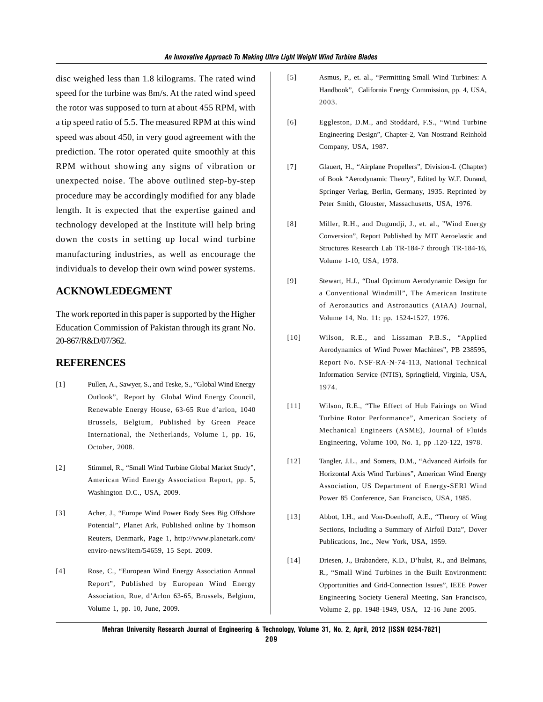disc weighed less than 1.8 kilograms. The rated wind speed for the turbine was 8m/s. At the rated wind speed the rotor was supposed to turn at about 455 RPM, with a tip speed ratio of 5.5. The measured RPM at this wind speed was about 450, in very good agreement with the prediction. The rotor operated quite smoothly at this RPM without showing any signs of vibration or unexpected noise. The above outlined step-by-step procedure may be accordingly modified for any blade length. It is expected that the expertise gained and technology developed at the Institute will help bring down the costs in setting up local wind turbine manufacturing industries, as well as encourage the individuals to develop their own wind power systems.

# **ACKNOWLEDEGMENT**

The work reported in this paper is supported by the Higher Education Commission of Pakistan through its grant No. 20-867/R&D/07/362.

### **REFERENCES**

- [1] Pullen, A., Sawyer, S., and Teske, S., "Global Wind Energy Outlook", Report by Global Wind Energy Council, Renewable Energy House, 63-65 Rue d'arlon, 1040 Brussels, Belgium, Published by Green Peace International, the Netherlands, Volume 1, pp. 16, October, 2008.
- [2] Stimmel, R., "Small Wind Turbine Global Market Study", American Wind Energy Association Report, pp. 5, Washington D.C., USA, 2009.
- [3] Acher, J., "Europe Wind Power Body Sees Big Offshore Potential", Planet Ark, Published online by Thomson Reuters, Denmark, Page 1, http://www.planetark.com/ enviro-news/item/54659, 15 Sept. 2009.
- [4] Rose, C., "European Wind Energy Association Annual Report", Published by European Wind Energy Association, Rue, d'Arlon 63-65, Brussels, Belgium, Volume 1, pp. 10, June, 2009.
- [5] Asmus, P., et. al., "Permitting Small Wind Turbines: A Handbook", California Energy Commission, pp. 4, USA, 2003.
- [6] Eggleston, D.M., and Stoddard, F.S., "Wind Turbine Engineering Design", Chapter-2, Van Nostrand Reinhold Company, USA, 1987.
- [7] Glauert, H., "Airplane Propellers", Division-L (Chapter) of Book "Aerodynamic Theory", Edited by W.F. Durand, Springer Verlag, Berlin, Germany, 1935. Reprinted by Peter Smith, Glouster, Massachusetts, USA, 1976.
- [8] Miller, R.H., and Dugundji, J., et. al., "Wind Energy Conversion", Report Published by MIT Aeroelastic and Structures Research Lab TR-184-7 through TR-184-16, Volume 1-10, USA, 1978.
- [9] Stewart, H.J., "Dual Optimum Aerodynamic Design for a Conventional Windmill", The American Institute of Aeronautics and Astronautics (AIAA) Journal, Volume 14, No. 11: pp. 1524-1527, 1976.
- [10] Wilson, R.E., and Lissaman P.B.S., "Applied Aerodynamics of Wind Power Machines", PB 238595, Report No. NSF-RA-N-74-113, National Technical Information Service (NTIS), Springfield, Virginia, USA, 1974.
- [11] Wilson, R.E., "The Effect of Hub Fairings on Wind Turbine Rotor Performance", American Society of Mechanical Engineers (ASME), Journal of Fluids Engineering, Volume 100, No. 1, pp .120-122, 1978.
- [12] Tangler, J.L., and Somers, D.M., "Advanced Airfoils for Horizontal Axis Wind Turbines", American Wind Energy Association, US Department of Energy-SERI Wind Power 85 Conference, San Francisco, USA, 1985.
- [13] Abbot, I.H., and Von-Doenhoff, A.E., "Theory of Wing Sections, Including a Summary of Airfoil Data", Dover Publications, Inc., New York, USA, 1959.
- [14] Driesen, J., Brabandere, K.D., D'hulst, R., and Belmans, R., "Small Wind Turbines in the Built Environment: Opportunities and Grid-Connection Issues", IEEE Power Engineering Society General Meeting, San Francisco, Volume 2, pp. 1948-1949, USA, 12-16 June 2005.